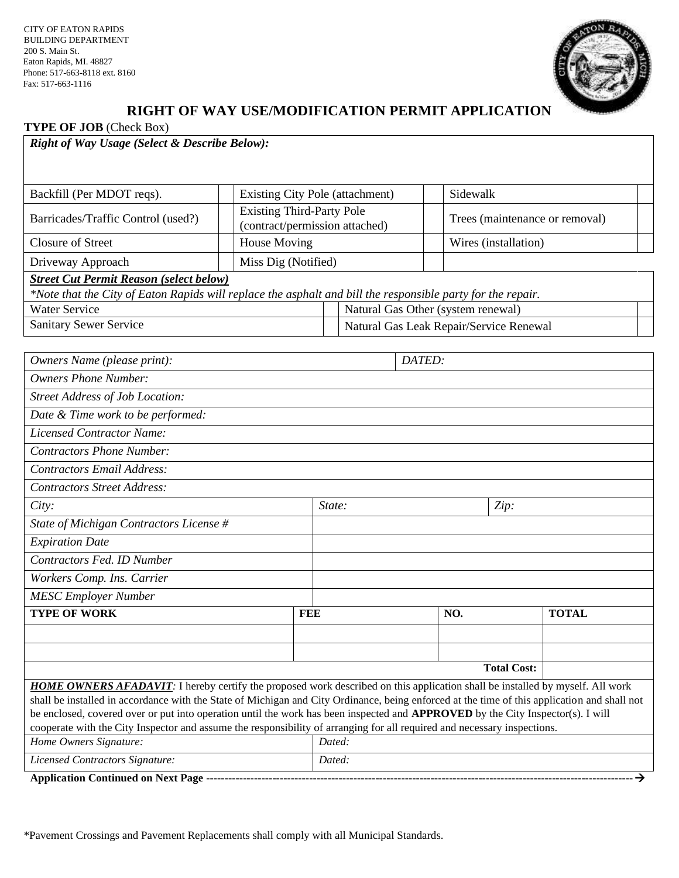CITY OF EATON RAPIDS BUILDING DEPARTMENT 200 S. Main St. Eaton Rapids, MI. 48827 Phone: 517-663-8118 ext. 8160 Fax: 517-663-1116



## **RIGHT OF WAY USE/MODIFICATION PERMIT APPLICATION**

**TYPE OF JOB** (Check Box)

| Right of Way Usage (Select & Describe Below):                                                                                 |                                                                    |        |                                         |                                |  |
|-------------------------------------------------------------------------------------------------------------------------------|--------------------------------------------------------------------|--------|-----------------------------------------|--------------------------------|--|
| Backfill (Per MDOT reqs).                                                                                                     | Existing City Pole (attachment)                                    |        |                                         | Sidewalk                       |  |
| Barricades/Traffic Control (used?)                                                                                            | <b>Existing Third-Party Pole</b><br>(contract/permission attached) |        |                                         | Trees (maintenance or removal) |  |
| <b>Closure of Street</b>                                                                                                      | House Moving                                                       |        |                                         | Wires (installation)           |  |
| Driveway Approach                                                                                                             | Miss Dig (Notified)                                                |        |                                         |                                |  |
| <b>Street Cut Permit Reason (select below)</b>                                                                                |                                                                    |        |                                         |                                |  |
| *Note that the City of Eaton Rapids will replace the asphalt and bill the responsible party for the repair.                   |                                                                    |        |                                         |                                |  |
| <b>Water Service</b>                                                                                                          |                                                                    |        | Natural Gas Other (system renewal)      |                                |  |
| <b>Sanitary Sewer Service</b>                                                                                                 |                                                                    |        | Natural Gas Leak Repair/Service Renewal |                                |  |
|                                                                                                                               |                                                                    |        |                                         |                                |  |
| Owners Name (please print):                                                                                                   | DATED:                                                             |        |                                         |                                |  |
| <b>Owners Phone Number:</b>                                                                                                   |                                                                    |        |                                         |                                |  |
| <b>Street Address of Job Location:</b>                                                                                        |                                                                    |        |                                         |                                |  |
| Date & Time work to be performed:                                                                                             |                                                                    |        |                                         |                                |  |
| <b>Licensed Contractor Name:</b>                                                                                              |                                                                    |        |                                         |                                |  |
| <b>Contractors Phone Number:</b>                                                                                              |                                                                    |        |                                         |                                |  |
| <b>Contractors Email Address:</b>                                                                                             |                                                                    |        |                                         |                                |  |
| <b>Contractors Street Address:</b>                                                                                            |                                                                    |        |                                         |                                |  |
| City:                                                                                                                         |                                                                    | State: |                                         | Zip:                           |  |
| State of Michigan Contractors License #                                                                                       |                                                                    |        |                                         |                                |  |
| <b>Expiration Date</b>                                                                                                        |                                                                    |        |                                         |                                |  |
| Contractors Fed. ID Number                                                                                                    |                                                                    |        |                                         |                                |  |
| Workers Comp. Ins. Carrier                                                                                                    |                                                                    |        |                                         |                                |  |
| <b>MESC Employer Number</b>                                                                                                   |                                                                    |        |                                         |                                |  |
| <b>TYPE OF WORK</b><br>FEE                                                                                                    |                                                                    |        | NO.                                     | <b>TOTAL</b>                   |  |
|                                                                                                                               |                                                                    |        |                                         |                                |  |
|                                                                                                                               |                                                                    |        |                                         |                                |  |
| <b>Total Cost:</b>                                                                                                            |                                                                    |        |                                         |                                |  |
| HOME OWNERS AFADAVIT: I hereby certify the proposed work described on this application shall be installed by myself. All work |                                                                    |        |                                         |                                |  |

shall be installed in accordance with the State of Michigan and City Ordinance, being enforced at the time of this application and shall not be enclosed, covered over or put into operation until the work has been inspected and **APPROVED** by the City Inspector(s). I will cooperate with the City Inspector and assume the responsibility of arranging for all required and necessary inspections. *Home Owners Signature: Dated: Licensed Contractors Signature: Dated:*

**Application Continued on Next Page --------------------------------------------------------------------------------------------------------------------**→

\*Pavement Crossings and Pavement Replacements shall comply with all Municipal Standards.